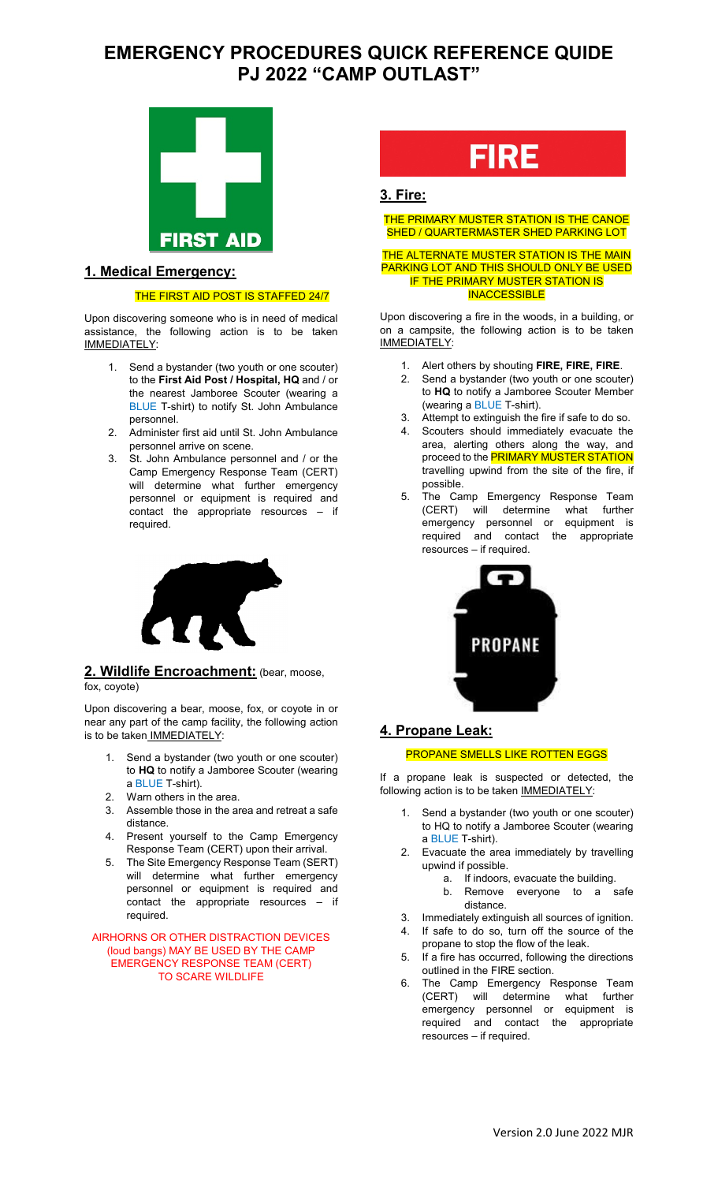# **EMERGENCY PROCEDURES QUICK REFERENCE QUIDE PJ 2022 "CAMP OUTLAST"**



### **1. Medical Emergency:**

### THE FIRST AID POST IS STAFFED 24/7

Upon discovering someone who is in need of medical assistance, the following action is to be taken IMMEDIATELY:

- 1. Send a bystander (two youth or one scouter) to the **First Aid Post / Hospital, HQ** and / or the nearest Jamboree Scouter (wearing a BLUE T-shirt) to notify St. John Ambulance personnel.
- 2. Administer first aid until St. John Ambulance personnel arrive on scene.
- 3. St. John Ambulance personnel and / or the Camp Emergency Response Team (CERT) will determine what further emergency personnel or equipment is required and contact the appropriate resources – if required.



### **2. Wildlife Encroachment:** (bear, moose, fox, coyote)

Upon discovering a bear, moose, fox, or coyote in or near any part of the camp facility, the following action is to be taken IMMEDIATELY:

- 1. Send a bystander (two youth or one scouter) to **HQ** to notify a Jamboree Scouter (wearing a BLUE T-shirt).
- 2. Warn others in the area.
- 3. Assemble those in the area and retreat a safe distance.
- 4. Present yourself to the Camp Emergency Response Team (CERT) upon their arrival.
- 5. The Site Emergency Response Team (SERT) will determine what further emergency personnel or equipment is required and contact the appropriate resources – if required.

AIRHORNS OR OTHER DISTRACTION DEVICES (loud bangs) MAY BE USED BY THE CAMP EMERGENCY RESPONSE TEAM (CERT) TO SCARE WILDLIFE

# **FIRE**

## **3. Fire:**

THE PRIMARY MUSTER STATION IS THE CANOE SHED / QUARTERMASTER SHED PARKING LOT

#### THE ALTERNATE MUSTER STATION IS THE MAIN PARKING LOT AND THIS SHOULD ONLY BE USED IF THE PRIMARY MUSTER STATION IS **INACCESSIBLE**

Upon discovering a fire in the woods, in a building, or on a campsite, the following action is to be taken IMMEDIATELY:

- 1. Alert others by shouting **FIRE, FIRE, FIRE**.
- 2. Send a bystander (two youth or one scouter) to **HQ** to notify a Jamboree Scouter Member (wearing a BLUE T-shirt).
- Attempt to extinguish the fire if safe to do so.
- 4. Scouters should immediately evacuate the area, alerting others along the way, and proceed to the **PRIMARY MUSTER STATION** travelling upwind from the site of the fire, if possible.
- The Camp Emergency Response Team (CERT) will determine what further emergency personnel or equipment is required and contact the appropriate resources – if required.



### **4. Propane Leak:**

### PROPANE SMELLS LIKE ROTTEN EGGS

If a propane leak is suspected or detected, the following action is to be taken **IMMEDIATELY:** 

- Send a bystander (two youth or one scouter) to HQ to notify a Jamboree Scouter (wearing a BLUE T-shirt).
- 2. Evacuate the area immediately by travelling upwind if possible.
	- a. If indoors, evacuate the building.<br>b. Remove everyone to a s
	- Remove everyone to a safe distance.
- 3. Immediately extinguish all sources of ignition.
- 4. If safe to do so, turn off the source of the propane to stop the flow of the leak.
- 5. If a fire has occurred, following the directions outlined in the FIRE section.
- 6. The Camp Emergency Response Team (CERT) will determine what further emergency personnel or equipment is required and contact the appropriate resources – if required.